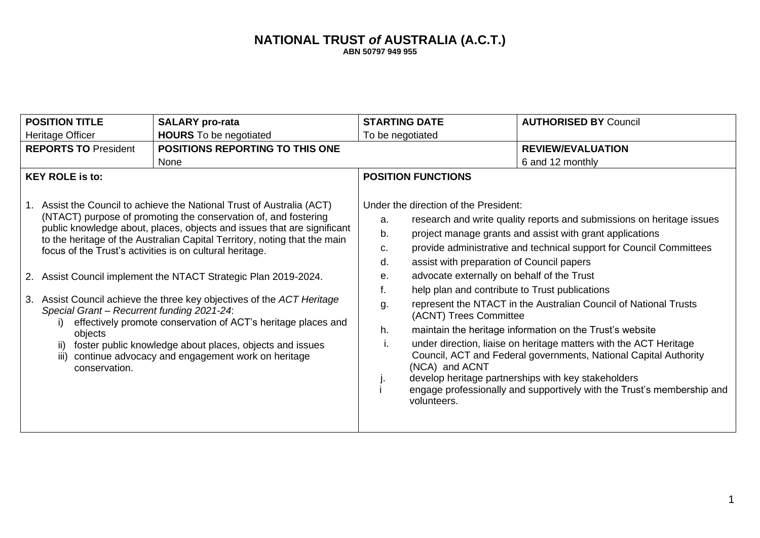## **NATIONAL TRUST** *of* **AUSTRALIA (A.C.T.) ABN 50797 949 955**

| <b>POSITION TITLE</b>                                                                 | <b>SALARY</b> pro-rata                                                                                                                                                                                                                                                                                                                                                                                                                                                                                                                                                                                                                                                                       | <b>STARTING DATE</b>                                                                                                                                                                                                                                                                          | <b>AUTHORISED BY Council</b>                                                                                                                                                                                                                                                                                                                                                                                                                                                                                                                                                                                       |
|---------------------------------------------------------------------------------------|----------------------------------------------------------------------------------------------------------------------------------------------------------------------------------------------------------------------------------------------------------------------------------------------------------------------------------------------------------------------------------------------------------------------------------------------------------------------------------------------------------------------------------------------------------------------------------------------------------------------------------------------------------------------------------------------|-----------------------------------------------------------------------------------------------------------------------------------------------------------------------------------------------------------------------------------------------------------------------------------------------|--------------------------------------------------------------------------------------------------------------------------------------------------------------------------------------------------------------------------------------------------------------------------------------------------------------------------------------------------------------------------------------------------------------------------------------------------------------------------------------------------------------------------------------------------------------------------------------------------------------------|
| Heritage Officer                                                                      | <b>HOURS</b> To be negotiated                                                                                                                                                                                                                                                                                                                                                                                                                                                                                                                                                                                                                                                                | To be negotiated                                                                                                                                                                                                                                                                              |                                                                                                                                                                                                                                                                                                                                                                                                                                                                                                                                                                                                                    |
| <b>POSITIONS REPORTING TO THIS ONE</b><br><b>REPORTS TO President</b>                 |                                                                                                                                                                                                                                                                                                                                                                                                                                                                                                                                                                                                                                                                                              |                                                                                                                                                                                                                                                                                               | <b>REVIEW/EVALUATION</b>                                                                                                                                                                                                                                                                                                                                                                                                                                                                                                                                                                                           |
|                                                                                       | None                                                                                                                                                                                                                                                                                                                                                                                                                                                                                                                                                                                                                                                                                         |                                                                                                                                                                                                                                                                                               | 6 and 12 monthly                                                                                                                                                                                                                                                                                                                                                                                                                                                                                                                                                                                                   |
| <b>KEY ROLE is to:</b>                                                                |                                                                                                                                                                                                                                                                                                                                                                                                                                                                                                                                                                                                                                                                                              | <b>POSITION FUNCTIONS</b>                                                                                                                                                                                                                                                                     |                                                                                                                                                                                                                                                                                                                                                                                                                                                                                                                                                                                                                    |
| Special Grant - Recurrent funding 2021-24:<br>objects<br>ii)<br>iii)<br>conservation. | 1. Assist the Council to achieve the National Trust of Australia (ACT)<br>(NTACT) purpose of promoting the conservation of, and fostering<br>public knowledge about, places, objects and issues that are significant<br>to the heritage of the Australian Capital Territory, noting that the main<br>focus of the Trust's activities is on cultural heritage.<br>2. Assist Council implement the NTACT Strategic Plan 2019-2024.<br>3. Assist Council achieve the three key objectives of the ACT Heritage<br>effectively promote conservation of ACT's heritage places and<br>foster public knowledge about places, objects and issues<br>continue advocacy and engagement work on heritage | Under the direction of the President:<br>a.<br>b.<br>c.<br>assist with preparation of Council papers<br>d.<br>advocate externally on behalf of the Trust<br>е.<br>help plan and contribute to Trust publications<br>f.<br>g.<br>(ACNT) Trees Committee<br>h.<br>(NCA) and ACNT<br>volunteers. | research and write quality reports and submissions on heritage issues<br>project manage grants and assist with grant applications<br>provide administrative and technical support for Council Committees<br>represent the NTACT in the Australian Council of National Trusts<br>maintain the heritage information on the Trust's website<br>under direction, liaise on heritage matters with the ACT Heritage<br>Council, ACT and Federal governments, National Capital Authority<br>develop heritage partnerships with key stakeholders<br>engage professionally and supportively with the Trust's membership and |